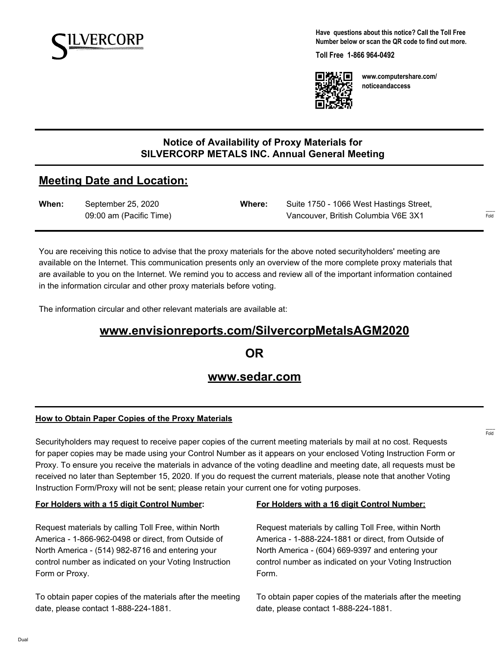

**Have questions about this notice? Call the Toll Free Number below or scan the QR code to find out more.**

**Toll Free 1-866 964-0492**



**www.computershare.com/ noticeandaccess**

## **Notice of Availability of Proxy Materials for SILVERCORP METALS INC. Annual General Meeting**

# **Meeting Date and Location:**

| When: | September 25, 2020      | Where: | Suite 1750 - 1066 West Hastings Street, |                         |
|-------|-------------------------|--------|-----------------------------------------|-------------------------|
|       | 09:00 am (Pacific Time) |        | Vancouver, British Columbia V6E 3X1     | $1 - 1 - 1 = 1$<br>Fold |

You are receiving this notice to advise that the proxy materials for the above noted securityholders' meeting are available on the Internet. This communication presents only an overview of the more complete proxy materials that are available to you on the Internet. We remind you to access and review all of the important information contained in the information circular and other proxy materials before voting.

The information circular and other relevant materials are available at:

# **www.envisionreports.com/SilvercorpMetalsAGM2020**

**OR**

## **www.sedar.com**

#### **How to Obtain Paper Copies of the Proxy Materials**

Securityholders may request to receive paper copies of the current meeting materials by mail at no cost. Requests for paper copies may be made using your Control Number as it appears on your enclosed Voting Instruction Form or Proxy. To ensure you receive the materials in advance of the voting deadline and meeting date, all requests must be received no later than September 15, 2020. If you do request the current materials, please note that another Voting Instruction Form/Proxy will not be sent; please retain your current one for voting purposes.

#### **For Holders with a 15 digit Control Number:**

Request materials by calling Toll Free, within North America - 1-866-962-0498 or direct, from Outside of North America - (514) 982-8716 and entering your control number as indicated on your Voting Instruction Form or Proxy.

To obtain paper copies of the materials after the meeting date, please contact 1-888-224-1881.

#### **For Holders with a 16 digit Control Number:**

Request materials by calling Toll Free, within North America - 1-888-224-1881 or direct, from Outside of North America - (604) 669-9397 and entering your control number as indicated on your Voting Instruction Form.

To obtain paper copies of the materials after the meeting date, please contact 1-888-224-1881.